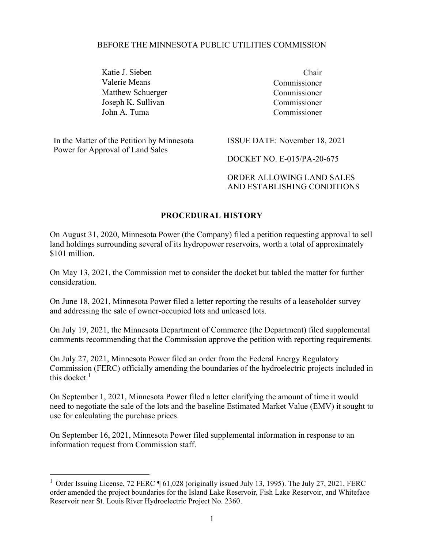#### BEFORE THE MINNESOTA PUBLIC UTILITIES COMMISSION

Katie J. Sieben Chair Valerie Means Commissioner Matthew Schuerger Commissioner Joseph K. Sullivan Commissioner John A. Tuma Commissioner

 In the Matter of the Petition by Minnesota Power for Approval of Land Sales

ISSUE DATE: November 18, 2021

DOCKET NO. E-015/PA-20-675

ORDER ALLOWING LAND SALES AND ESTABLISHING CONDITIONS

### PROCEDURAL HISTORY

On August 31, 2020, Minnesota Power (the Company) filed a petition requesting approval to sell land holdings surrounding several of its hydropower reservoirs, worth a total of approximately \$101 million.

On May 13, 2021, the Commission met to consider the docket but tabled the matter for further consideration.

On June 18, 2021, Minnesota Power filed a letter reporting the results of a leaseholder survey and addressing the sale of owner-occupied lots and unleased lots.

On July 19, 2021, the Minnesota Department of Commerce (the Department) filed supplemental comments recommending that the Commission approve the petition with reporting requirements.

On July 27, 2021, Minnesota Power filed an order from the Federal Energy Regulatory Commission (FERC) officially amending the boundaries of the hydroelectric projects included in this docket. $<sup>1</sup>$ </sup>

On September 1, 2021, Minnesota Power filed a letter clarifying the amount of time it would need to negotiate the sale of the lots and the baseline Estimated Market Value (EMV) it sought to use for calculating the purchase prices.

On September 16, 2021, Minnesota Power filed supplemental information in response to an information request from Commission staff.

<sup>&</sup>lt;sup>1</sup> Order Issuing License, 72 FERC ¶ 61,028 (originally issued July 13, 1995). The July 27, 2021, FERC order amended the project boundaries for the Island Lake Reservoir, Fish Lake Reservoir, and Whiteface Reservoir near St. Louis River Hydroelectric Project No. 2360.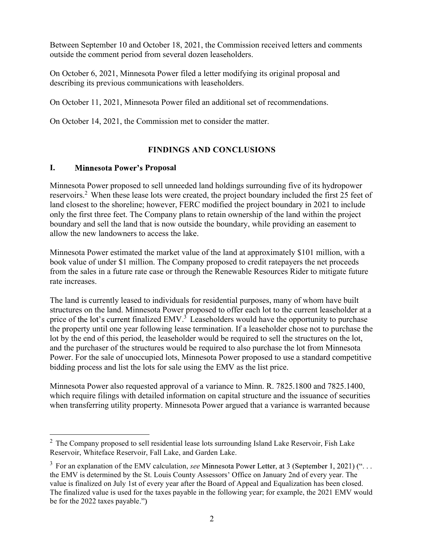Between September 10 and October 18, 2021, the Commission received letters and comments outside the comment period from several dozen leaseholders.

On October 6, 2021, Minnesota Power filed a letter modifying its original proposal and describing its previous communications with leaseholders.

On October 11, 2021, Minnesota Power filed an additional set of recommendations.

On October 14, 2021, the Commission met to consider the matter.

## FINDINGS AND CONCLUSIONS

## I. Minnesota Power's Proposal

Minnesota Power proposed to sell unneeded land holdings surrounding five of its hydropower reservoirs.<sup>2</sup> When these lease lots were created, the project boundary included the first 25 feet of land closest to the shoreline; however, FERC modified the project boundary in 2021 to include only the first three feet. The Company plans to retain ownership of the land within the project boundary and sell the land that is now outside the boundary, while providing an easement to allow the new landowners to access the lake.

Minnesota Power estimated the market value of the land at approximately \$101 million, with a book value of under \$1 million. The Company proposed to credit ratepayers the net proceeds from the sales in a future rate case or through the Renewable Resources Rider to mitigate future rate increases.

The land is currently leased to individuals for residential purposes, many of whom have built structures on the land. Minnesota Power proposed to offer each lot to the current leaseholder at a price of the lot's current finalized EMV.<sup>3</sup> Leaseholders would have the opportunity to purchase the property until one year following lease termination. If a leaseholder chose not to purchase the lot by the end of this period, the leaseholder would be required to sell the structures on the lot, and the purchaser of the structures would be required to also purchase the lot from Minnesota Power. For the sale of unoccupied lots, Minnesota Power proposed to use a standard competitive bidding process and list the lots for sale using the EMV as the list price.

Minnesota Power also requested approval of a variance to Minn. R. 7825.1800 and 7825.1400, which require filings with detailed information on capital structure and the issuance of securities when transferring utility property. Minnesota Power argued that a variance is warranted because

 $2$  The Company proposed to sell residential lease lots surrounding Island Lake Reservoir, Fish Lake Reservoir, Whiteface Reservoir, Fall Lake, and Garden Lake.

 $3$  For an explanation of the EMV calculation, see Minnesota Power the EMV is determined by the St. Louis County Assessors' Office on January 2nd of every year. The value is finalized on July 1st of every year after the Board of Appeal and Equalization has been closed. The finalized value is used for the taxes payable in the following year; for example, the 2021 EMV would be for the 2022 taxes payable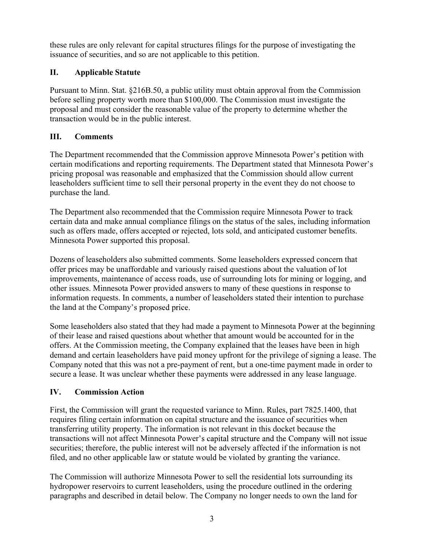these rules are only relevant for capital structures filings for the purpose of investigating the issuance of securities, and so are not applicable to this petition.

these rules are only relevant for capital structures filings for the purpose of is<br>sisuance of securities, and so are not applicable to this petition.<br> **II.** Applicable Statute<br>
Pursuant to Minn. Stat. §216B.50, a public u Pursuant to Minn. Stat. §216B.50, a public utility must obtain approval from the Commission before selling property worth more than \$100,000. The Commission must investigate the proposal and must consider the reasonable value of the property to determine whether the transaction would be in the public interest.

## III. Comments

The Department recommended that the Commission approve Minnesota Power's petition with certain modifications and reporting requirements. The Department stated that Minnesota Power pricing proposal was reasonable and emphasized that the Commission should allow current leaseholders sufficient time to sell their personal property in the event they do not choose to purchase the land.

The Department also recommended that the Commission require Minnesota Power to track certain data and make annual compliance filings on the status of the sales, including information such as offers made, offers accepted or rejected, lots sold, and anticipated customer benefits. Minnesota Power supported this proposal.

Dozens of leaseholders also submitted comments. Some leaseholders expressed concern that offer prices may be unaffordable and variously raised questions about the valuation of lot improvements, maintenance of access roads, use of surrounding lots for mining or logging, and other issues. Minnesota Power provided answers to many of these questions in response to information requests. In comments, a number of leaseholders stated their intention to purchase the land at the Company's proposed price. The Department recommended that the Commission approve Minnesota Power's petition with<br>erricing modifications and reporting requirements. The Department stated that Minnesota Power<br>pricing proposal was reasonable and empha

of their lease and raised questions about whether that amount would be accounted for in the offers. At the Commission meeting, the Company explained that the leases have been in high demand and certain leaseholders have paid money upfront for the privilege of signing a lease. The Company noted that this was not a pre-payment of rent, but a one-time payment made in order to secure a lease. It was unclear whether these payments were addressed in any lease language.

# IV. Commission Action

First, the Commission will grant the requested variance to Minn. Rules, part 7825.1400, that requires filing certain information on capital structure and the issuance of securities when transferring utility property. The information is not relevant in this docket because the transactions will not affect Minnesota Power's capital structure and the Company will not issue securities; therefore, the public interest will not be adversely affected if the information is not filed, and no other applicable law or statute would be violated by granting the variance.

The Commission will authorize Minnesota Power to sell the residential lots surrounding its hydropower reservoirs to current leaseholders, using the procedure outlined in the ordering paragraphs and described in detail below. The Company no longer needs to own the land for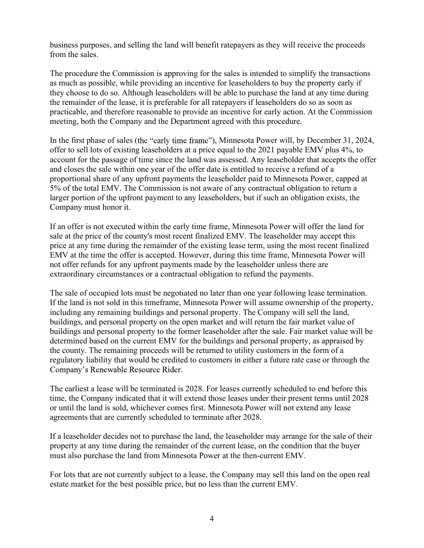business purposes, and selling the land will benefit ratepayers as they will receive the proceeds from the sales.

The procedure the Commission is approving for the sales is intended to simplify the transactions as much as possible, while providing an incentive for leaseholders to buy the property early if they choose to do so. Although leaseholders will be able to purchase the land at any time during the remainder of the lease, it is preferable for all ratepayers if leaseholders do so as soon as practicable, and therefore reasonable to provide an incentive for early action. At the Commission meeting, both the Company and the Department agreed with this procedure.

In the first phase of sales (the "early time frame"), Minnesota Power will, by December 31, 2024, offer to sell lots of existing leaseholders at a price equal to the 2021 payable EMV plus 4%, to account for the passage of time since the land was assessed. Any leaseholder that accepts the offer and closes the sale within one year of the offer date is entitled to receive a refund of a proportional share of any upfront payments the leaseholder paid to Minnesota Power, capped at 5% of the total EMV. The Commission is not aware of any contractual obligation to return a larger portion of the upfront payment to any leaseholders, but if such an obligation exists, the Company must honor it. not mean the proton state of the considerative of the considerative of the proton state of the protose to do so. Although leaseholders will be able to purchase the land at any time during the remainder of the lease, it is

If an offer is not executed within the early time frame, Minnesota Power will offer the land for sale at the price of the county's most recent finalized EMV. The leaseholder may accept this price at any time during the remainder of the existing lease term, using the most recent finalized EMV at the time the offer is accepted. However, during this time frame, Minnesota Power will extraordinary circumstances or a contractual obligation to refund the payments.

The sale of occupied lots must be negotiated no later than one year following lease termination. If the land is not sold in this timeframe, Minnesota Power will assume ownership of the property, including any remaining buildings and personal property. The Company will sell the land, buildings, and personal property on the open market and will return the fair market value of buildings and personal property to the former leaseholder after the sale. Fair market value will be determined based on the current EMV for the buildings and personal property, as appraised by the county. The remaining proceeds will be returned to utility customers in the form of a regulatory liability that would be credited to customers in either a future rate case or through the . The earliest a lease will be terminated is 2028. For leases currently scheduled to end before this

time, the Company indicated that it will extend those leases under their present terms until 2028 or until the land is sold, whichever comes first. Minnesota Power will not extend any lease agreements that are currently scheduled to terminate after 2028.

If a leaseholder decides not to purchase the land, the leaseholder may arrange for the sale of their property at any time during the remainder of the current lease, on the condition that the buyer must also purchase the land from Minnesota Power at the then-current EMV.

For lots that are not currently subject to a lease, the Company may sell this land on the open real estate market for the best possible price, but no less than the current EMV.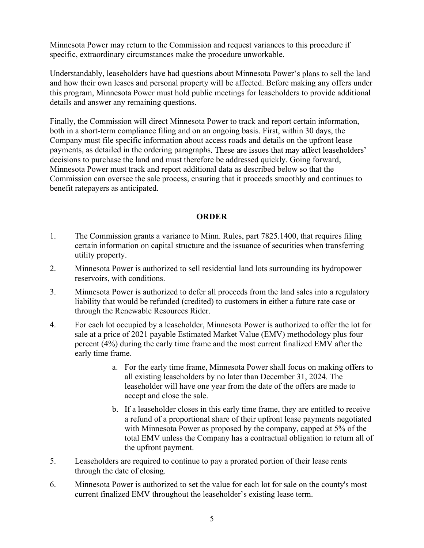Minnesota Power may return to the Commission and request variances to this procedure if specific, extraordinary circumstances make the procedure unworkable.

Understandably, leaseholders have had questions about Minnesota Power's plans to sell the land and how their own leases and personal property will be affected. Before making any offers under this program, Minnesota Power must hold public meetings for leaseholders to provide additional details and answer any remaining questions.

Finally, the Commission will direct Minnesota Power to track and report certain information, both in a short-term compliance filing and on an ongoing basis. First, within 30 days, the Company must file specific information about access roads and details on the upfront lease payments, as detailed in the ordering paragraphs. These are issues that may affect leaseholders' decisions to purchase the land and must therefore be addressed quickly. Going forward, Minnesota Power must track and report additional data as described below so that the Commission can oversee the sale process, ensuring that it proceeds smoothly and continues to benefit ratepayers as anticipated. Eventry studienty studients make make the presence antestance.<br>
Understandard how their own leases and personal property will be affected. Before making any offers under<br>
this program, Minnesota Power must hold public meet this program, Minnesota Power must hold public meetings for leaseholders to provide additional<br>
details and answor any remaining questions.<br>
Finally, the Commission will direct Mimesota Bower to track and report cretain in Finally, the Commission will direct Minnesota Power to track and report certain information,<br>
both in a short-term compliance filing and on an ongoing basis. First, within 30 days, the<br>
Company must file specific informati 1. payments, as detailed in the ordering paragraphs. These are issues that may affect leaseholders<br>
decisions to purchase the land and must therefore be addressed quickly. Going forward,<br>
Minnesota Power must track and rep

## ORDER

- certain information on capital structure and the issuance of securities when transferring utility property.
- reservoirs, with conditions.
- liability that would be refunded (credited) to customers in either a future rate case or through the Renewable Resources Rider.
- sale at a price of 2021 payable Estimated Market Value (EMV) methodology plus four percent (4%) during the early time frame and the most current finalized EMV after the early time frame.
	- a. For the early time frame, Minnesota Power shall focus on making offers to all existing leaseholders by no later than December 31, 2024. The leaseholder will have one year from the date of the offers are made to accept and close the sale.
- b. If a leaseholder closes in this early time frame, they are entitled to receive a refund of a proportional share of their upfront lease payments negotiated with Minnesota Power as proposed by the company, capped at 5% of the total EMV unless the Company has a contractual obligation to return all of the upfront payment. 3. Minnesota Power is authorized to defer all proceeds from the land sales into a regulatory<br>
itability that would be refunded (credited) to customers in either a future rate case or<br>
frough the Renewable Resoruces Rider. through the Renewable Resources Rider.<br>
For each lot occupied by a leaseholder, Minnesota Power is authorized to offer the lot for sale at a price of 2021 payable Estimated Market Value (EMV) methodology plus four percent
- through the date of closing.
-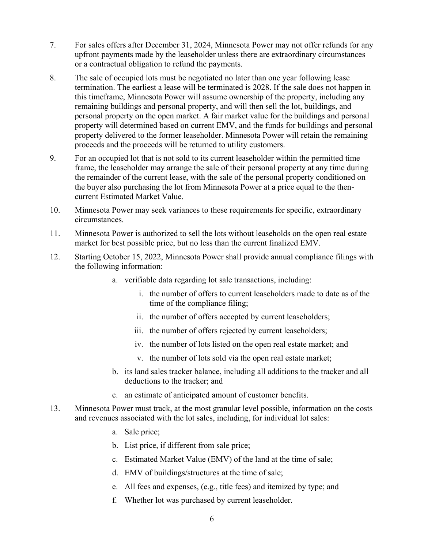- 7. For sales offers after December 31, 2024, Minnesota Power may not offer refunds for any<br>upfront payments made by the leaseholder unless there are extraordinary circumstances<br>or a contractual obligation to refund the pay upfront payments made by the leaseholder unless there are extraordinary circumstances or a contractual obligation to refund the payments.
- 8. The sales offers after December 31, 2024, Minnesota Power may not offer refunds for any upfront payments made by the leaseholder unless there are extraordinary circumstances or a contractual obligation to refund the pay termination. The earliest a lease will be terminated is 2028. If the sale does not happen in this timeframe, Minnesota Power will assume ownership of the property, including any remaining buildings and personal property, and will then sell the lot, buildings, and personal property on the open market. A fair market value for the buildings and personal property will determined based on current EMV, and the funds for buildings and personal property delivered to the former leaseholder. Minnesota Power will retain the remaining proceeds and the proceeds will be returned to utility customers. 7. For sales offers after December 31, 2024, Minnesota Power may not offer refunds for any upfront payments made by the leaseholder unless there are extraordinary circumstances or a contractual obligation to refund the pa 7. For sales offers after December 31, 2024, Minnesota Power may not offer refunds for any<br>upfront payments made by the leaseholder unless there are extraordinary eireumstances<br>or a contractual obligation to refund the pay if the action of the cassenoid times we have the sell the case of the complete and the following case<br>or a contractual obligation to refund the payments.<br>
8. The sale of occupied lots must be negotiated no later than one y 12. In sale of occupied ot may be required to mean one year following least<br>
12. Starting October 15, 2022, Minnesota Power will assume ownership of the property, including any<br>
12. This immersion provided a power will ass
- frame, the leaseholder may arrange the sale of their personal property at any time during the remainder of the current lease, with the sale of the personal property conditioned on the buyer also purchasing the lot from Minnesota Power at a price equal to the thencurrent Estimated Market Value.
- circumstances.
- market for best possible price, but no less than the current finalized EMV.
- the following information:
	- a. verifiable data regarding lot sale transactions, including:
		- i. the number of offers to current leaseholders made to date as of the time of the compliance filing;
		- ii. the number of offers accepted by current leaseholders;
		- iii. the number of offers rejected by current leaseholders;
		- iv. the number of lots listed on the open real estate market; and
		- v. the number of lots sold via the open real estate market;
	- b. its land sales tracker balance, including all additions to the tracker and all deductions to the tracker; and
	- c. an estimate of anticipated amount of customer benefits.
- 11. Minnesota Power is authorized to sell the lots without leascholds on the open real estate<br>market for best (possible price, but no less than the current finalized EMV.<br>
12. Starting October 15, 2022, Minnesota Power sha and revenues associated with the lot sales, including, for individual lot sales:
	- a. Sale price;
	- b. List price, if different from sale price;
	- c. Estimated Market Value (EMV) of the land at the time of sale;
	- d. EMV of buildings/structures at the time of sale;
	- e. All fees and expenses, (e.g., title fees) and itemized by type; and
	- f. Whether lot was purchased by current leaseholder.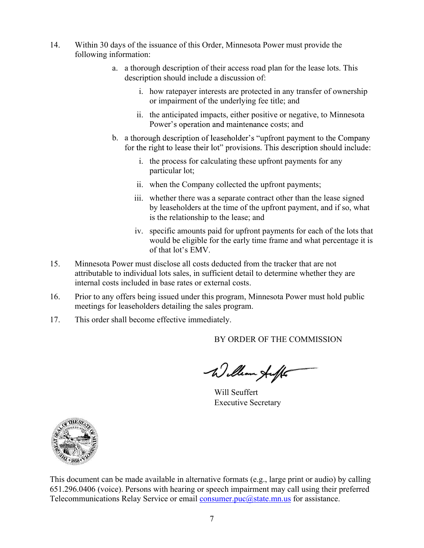- 14. Within 30 days of the issuance of this Order, Minnesota Power must provide the<br>following information:<br>a. a thorough description of their access road plan for the lease lots. This<br>description should include a discussion following information:
	- days of the issuance of this Order, Minnesota Power must provide the<br>nformation:<br>a. a thorough description of their access road plan for the lease lots. This<br>description should include a discussion of:<br>i. how ratepayer int description should include a discussion of: days of the issuance of this Order, Minnesota Power must provide the<br>information:<br>a. a thorough description of their access road plan for the lease lots. The<br>description should include a discussion of:<br>i. how rate<br>payer in
		- i.<br>
		he issuance of this Order, Minnesota Power must provide the<br>
		ion:<br>
		provide description of their access road plan for the lease lots. This<br>
		ription should include a discussion of:<br>
		i. how ratepayer interests are protect or impairment of the underlying fee title; and
		- Power's operation and maintenance costs; and
	- the issuance of this Order, Minnesota Power must provide the<br>tion:<br>orough description of their access road plan for the lease lots. This<br>cription should include a discussion of:<br>i. how ratepayer interests are protected in i. i. the company collected the upfront payments;<br>i.e., when the process for the process for the lease lots. This<br>irpition should include a discussion of:<br>i. how rate<br>payer interests are protected in any transfer of owners
		- particular lot;
		-
		- the issuance of this Order, Minnesota Power must provide the sionic solution:<br>
		incription should include a discussion of:<br>
		i. how ratepayer interests are protected in any transfer of ownership<br>
		or impairment of the underly If the issuance of this Order, Minnesota Power must provide the<br>tion:<br>
		norough description of their access road plan for the lease lots. This<br>
		scription should include a discussion of:<br>
		i. how ratepayer interests are prote
		- issuance of this Order, Minnesota Power must provide the<br>istance of this Order, Minnesota Power must provide the<br>ugh description of their access road plan for the lease lots. This<br>tion should include a discussion of:<br>how r issuance of this Order, Minnesota Power must provide the<br>
		igh description of their access road plan for the lease lots. This<br>
		tion should include a discussion of:<br>
		how ratepayer interests are protected in any transfer of o tion:<br>
		ion:<br>
		ion:<br>
		ion-<br>
		ion diactive amos and pair for the lease lots. This<br>
		i. how rate<br>payer interests are protected in any transfer of ownership<br>
		or impairment of the underlying fee title; and<br>
		ii. the anticipated impa agh description of their access road plan for the lease lots. This<br>tion should include a discussion of:<br>how ratepayer interests are protected in any transfer of ownership<br>or impairment of the underlying fee title; and<br>the For should include a discussion of:<br>tion should include a discussion of:<br>how ratepayer interests are protected in any transfer of ownership<br>or impairment of the underlying fee title; and<br>the anticipated impacts, either pos
- 1. how ratepayer interests are protected in any transfer of ownership<br>or impairment of the underlying fee title, and<br>ii. the anticipated impacts, either positive or negative, to Minnesota<br>Power's operation ond maintenance attributable to individual lots sales, in sufficient detail to determine whether they are internal costs included in base rates or external costs. 16. Prior to any offers being incomparison of leaseholder's "upfront payment to the Company<br>
16. a thorough description of leaseholder's "upfront payments for any<br>
16. a theoretics for calculating these upfront payments fo 17. This order shall become effective immediately.<br>
17. This order shall become the right to lease their lot" provisions. This descri-<br>
i. the process for calculating these upfront payr<br>
ii. whether there was a separate co
- meetings for leaseholders detailing the sales program.
- 

BY ORDER OF THE COMMISSION

Will Seuffert Executive Secretary



This document can be made available in alternative formats (e.g., large print or audio) by calling 17. This order shall become effective immediately.<br>
BY ORDER OF THE COMMISSION<br>
Will Seuffert<br>
Executive Secretary<br>
Will Seuffert<br>
Executive Secretary<br>
This document can be made available in alternative formats (e.g., lar This order shall become effective immediately.<br>BY ORDER OF THE COMMISSION<br>Will Seuffert<br>Will Seuffert<br>Executive Secretary<br>This document can be made available in alternative formats (e.g., large print or audio) by calling<br>6